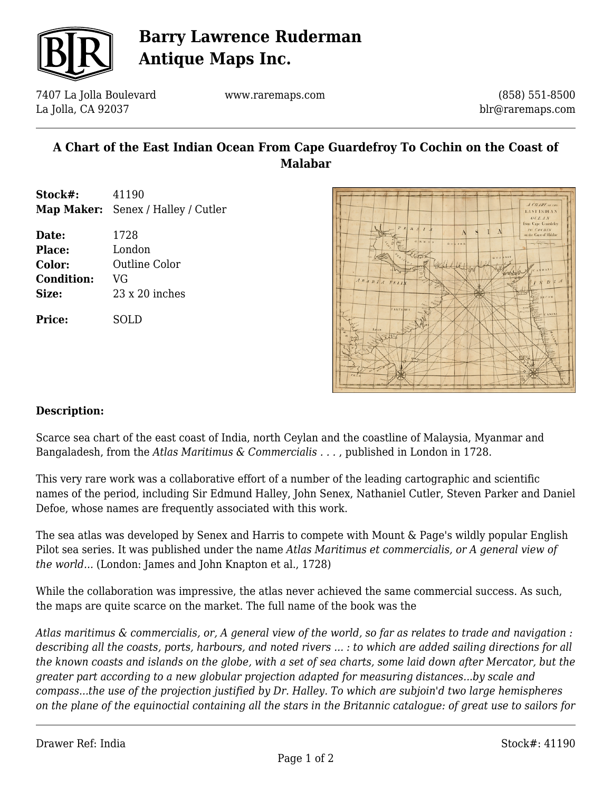

# **Barry Lawrence Ruderman Antique Maps Inc.**

7407 La Jolla Boulevard La Jolla, CA 92037

www.raremaps.com

(858) 551-8500 blr@raremaps.com

## **A Chart of the East Indian Ocean From Cape Guardefroy To Cochin on the Coast of Malabar**

- **Stock#:** 41190 **Map Maker:** Senex / Halley / Cutler
- **Date:** 1728 **Place:** London **Color:** Outline Color **Condition:** VG **Size:** 23 x 20 inches

**Price:** SOLD



#### **Description:**

Scarce sea chart of the east coast of India, north Ceylan and the coastline of Malaysia, Myanmar and Bangaladesh, from the *Atlas Maritimus & Commercialis . . .* , published in London in 1728.

This very rare work was a collaborative effort of a number of the leading cartographic and scientific names of the period, including Sir Edmund Halley, John Senex, Nathaniel Cutler, Steven Parker and Daniel Defoe, whose names are frequently associated with this work.

The sea atlas was developed by Senex and Harris to compete with Mount & Page's wildly popular English Pilot sea series. It was published under the name *Atlas Maritimus et commercialis, or A general view of the world...* (London: James and John Knapton et al., 1728)

While the collaboration was impressive, the atlas never achieved the same commercial success. As such, the maps are quite scarce on the market. The full name of the book was the

*Atlas maritimus & commercialis, or, A general view of the world, so far as relates to trade and navigation : describing all the coasts, ports, harbours, and noted rivers ... : to which are added sailing directions for all the known coasts and islands on the globe, with a set of sea charts, some laid down after Mercator, but the greater part according to a new globular projection adapted for measuring distances...by scale and compass...the use of the projection justified by Dr. Halley. To which are subjoin'd two large hemispheres on the plane of the equinoctial containing all the stars in the Britannic catalogue: of great use to sailors for*